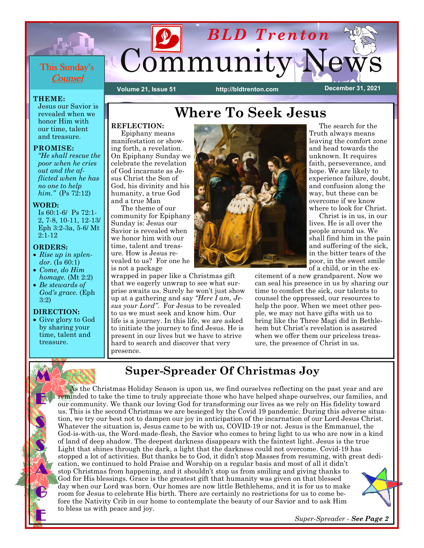

#### **THEME:**

Jesus our Savior is revealed when we honor Him with our time, talent and treasure.

#### **PROMISE:**

*"He shall rescue the poor when he cries out and the afflicted when he has no one to help him."* (Ps 72:12)

#### **WORD:**

Is 60:1-6/ Ps 72:1- 2, 7-8, 10-11, 12-13/ Eph 3:2-3a, 5-6/ Mt 2:1-12

### **ORDERS:**

- *Rise up in splendor.* (Is 60:1)
- *Come, do Him homage.* (Mt 2:2)
- *Be stewards of God's grace.* (Eph 3:2)

### **DIRECTION:**

M

E

S

S

A.

G

E

• Give glory to God by sharing your time, talent and treasure.

# **Where To Seek Jesus**

## **REFLECTION:**

 Epiphany means manifestation or showing forth, a revelation. On Epiphany Sunday we celebrate the revelation of God incarnate as Jesus Christ the Son of God, his divinity and his humanity, a true God and a true Man

 The theme of our community for Epiphany Sunday is: Jesus our Savior is revealed when we honor him with our time, talent and treasure. How is Jesus revealed to us? For one he is not a package

wrapped in paper like a Christmas gift that we eagerly unwrap to see what surprise awaits us. Surely he won't just show up at a gathering and say *"Here I am, Jesus your Lord".* For Jesus to be revealed to us we must seek and know him. Our life is a journey. In this life, we are asked to initiate the journey to find Jesus. He is present in our lives but we have to strive hard to search and discover that very presence.



 The search for the Truth always means leaving the comfort zone and head towards the unknown. It requires faith, perseverance, and hope. We are likely to experience failure, doubt, and confusion along the way, but these can be overcome if we know where to look for Christ.

 Christ is in us, in our lives. He is all over the people around us. We shall find him in the pain and suffering of the sick, in the bitter tears of the poor, in the sweet smile of a child, or in the ex-

citement of a new grandparent. Now we can seal his presence in us by sharing our time to comfort the sick, our talents to counsel the oppressed, our resources to help the poor. When we meet other people, we may not have gifts with us to bring like the Three Magi did in Bethlehem but Christ's revelation is assured when we offer them our priceless treasure, the presence of Christ in us.

## **Super-Spreader Of Christmas Joy**

 As the Christmas Holiday Season is upon us, we find ourselves reflecting on the past year and are reminded to take the time to truly appreciate those who have helped shape ourselves, our families, and our community. We thank our loving God for transforming our lives as we rely on His fidelity toward us. This is the second Christmas we are besieged by the Covid 19 pandemic. During this adverse situation, we try our best not to dampen our joy in anticipation of the incarnation of our Lord Jesus Christ. Whatever the situation is, Jesus came to be with us, COVID-19 or not. Jesus is the Emmanuel, the God-is-with-us, the Word-made-flesh, the Savior who comes to bring light to us who are now in a kind of land of deep shadow. The deepest darkness disappears with the faintest light. Jesus is the true Light that shines through the dark, a light that the darkness could not overcome. Covid-19 has stopped a lot of activities. But thanks be to God, it didn't stop Masses from resuming, with great dedication, we continued to hold Praise and Worship on a regular basis and most of all it didn't stop Christmas from happening, and it shouldn't stop us from smiling and giving thanks to God for His blessings. Grace is the greatest gift that humanity was given on that blessed day when our Lord was born. Our homes are now little Bethlehems, and it is for us to make room for Jesus to celebrate His birth. There are certainly no restrictions for us to come before the Nativity Crib in our home to contemplate the beauty of our Savior and to ask Him to bless us with peace and joy.

*Super-Spreader - See Page 2*